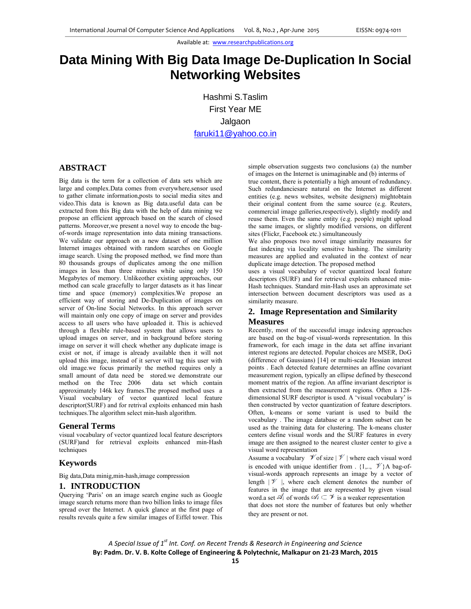# **Data Mining With Big Data Image De-Duplication In Social Networking Websites**

Hashmi S.Taslim First Year ME Jalgaon faruki11@yahoo.co.in

## **ABSTRACT**

Big data is the term for a collection of data sets which are large and complex.Data comes from everywhere,sensor used to gather climate information,posts to social media sites and video.This data is known as Big data.useful data can be extracted from this Big data with the help of data mining we propose an efficient approach based on the search of closed patterns. Moreover,we present a novel way to encode the bagof-words image representation into data mining transactions. We validate our approach on a new dataset of one million Internet images obtained with random searches on Google image search. Using the proposed method, we find more than 80 thousands groups of duplicates among the one million images in less than three minutes while using only 150 Megabytes of memory. Unlikeother existing approaches, our method can scale gracefully to larger datasets as it has linear time and space (memory) complexities.We propose an efficient way of storing and De-Duplication of images on server of On-line Social Networks. In this approach server will maintain only one copy of image on server and provides access to all users who have uploaded it. This is achieved through a flexible rule-based system that allows users to upload images on server, and in background before storing image on server it will check whether any duplicate image is exist or not, if image is already available then it will not upload this image, instead of it server will tag this user with old image.we focus primarily the method requires only a small amount of data need be stored.we demonstrate our method on the Trec 2006 data set which contain approximately 146k key frames.The propsed method uses a Visual vocabulary of vector quantized local feature descriptor(SURF) and for retrival exploits enhanced min hash techniques.The algorithm select min-hash algorithm.

#### **General Terms**

visual vocabulary of vector quantized local feature descriptors (SURF)and for retrieval exploits enhanced min-Hash techniques

## **Keywords**

Big data,Data minig,min-hash,image compression

#### **1. INTRODUCTION**

Querying 'Paris' on an image search engine such as Google image search returns more than two billion links to image files spread over the Internet. A quick glance at the first page of results reveals quite a few similar images of Eiffel tower. This

simple observation suggests two conclusions (a) the number of images on the Internet is unimaginable and (b) interms of true content, there is potentially a high amount of redundancy. Such redundanciesare natural on the Internet as different entities (e.g. news websites, website designers) mightobtain their original content from the same source (e.g. Reuters, commercial image galleries,respectively), slightly modify and reuse them. Even the same entity (e.g. people) might upload the same images, or slightly modified versions, on different sites (Flickr, Facebook etc.) simultaneously

We also proposes two novel image similarity measures for fast indexing via locality sensitive hashing. The similarity measures are applied and evaluated in the context of near duplicate image detection. The proposed method

uses a visual vocabulary of vector quantized local feature descriptors (SURF) and for retrieval exploits enhanced min-Hash techniques. Standard min-Hash uses an approximate set intersection between document descriptors was used as a similarity measure.

# **2. Image Representation and Similarity Measures**

Recently, most of the successful image indexing approaches are based on the bag-of visual-words representation. In this framework, for each image in the data set affine invariant interest regions are detected. Popular choices are MSER, DoG (difference of Gaussians) [14] or multi-scale Hessian interest points . Each detected feature determines an affine covariant measurement region, typically an ellipse defined by thesecond moment matrix of the region. An affine invariant descriptor is then extracted from the measurement regions. Often a 128 dimensional SURF descriptor is used. A 'visual vocabulary' is then constructed by vector quantization of feature descriptors. Often, k-means or some variant is used to build the vocabulary . The image database or a random subset can be used as the training data for clustering. The k-means cluster centers define visual words and the SURF features in every image are then assigned to the nearest cluster center to give a visual word representation

Assume a vocabulary  $\mathcal V$  of size  $|\mathcal V|$  where each visual word is encoded with unique identifier from .  $\{1, \ldots, \mathscr{V}\}\$ A bag-ofvisual-words approach represents an image by a vector of length  $|\mathcal{V}|$ , where each element denotes the number of features in the image that are represented by given visual word.a set  $\mathcal{A}_i$  of words  $\mathcal{A}_i \subset \mathcal{A}$  is a weaker representation that does not store the number of features but only whether they are present or not.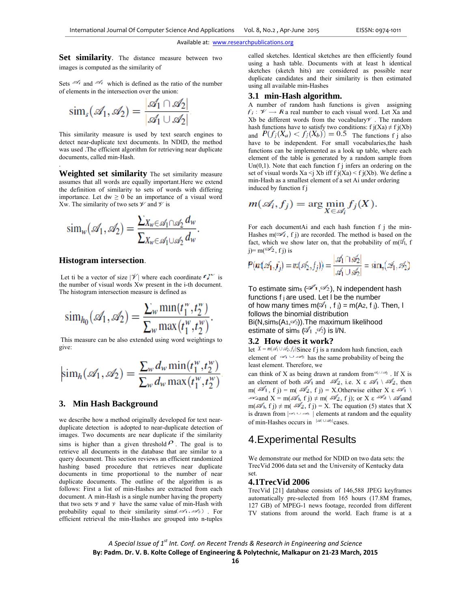Set similarity. The distance measure between two images is computed as the similarity of

Sets  $\mathscr{A}_i$  and  $\mathscr{A}_i$  which is defined as the ratio of the number of elements in the intersection over the union:

$$
\operatorname{sim}_s(\mathscr{A}_1, \mathscr{A}_2) = \frac{|\mathscr{A}_1 \cap \mathscr{A}_2|}{|\mathscr{A}_1 \cup \mathscr{A}_2|}
$$

 This similarity measure is used by text search engines to detect near-duplicate text documents. In NDID, the method was used .The efficient algorithm for retrieving near duplicate documents, called min-Hash.

**Weighted set similarity** The set similarity measure assumes that all words are equally important.Here we extend the definition of similarity to sets of words with differing importance. Let  $dw \ge 0$  be an importance of a visual word Xw. The similarity of two sets  $\mathcal V$  and  $\mathcal V$  is

$$
\operatorname{sim}_{w}(\mathscr{A}_{1}, \mathscr{A}_{2}) = \frac{\sum_{X_{w} \in \mathscr{A}_{1} \cap \mathscr{A}_{2}} d_{w}}{\sum_{X_{w} \in \mathscr{A}_{1} \cup \mathscr{A}_{2}} d_{w}}.
$$

#### **Histogram intersection**.

.

Let ti be a vector of size  $|\mathcal{V}|$  where each coordinate  $\mathcal{F}^{\mathcal{W}}_{\mathcal{F}}$  is the number of visual words Xw present in the i-th document. The histogram intersection measure is defined as

$$
\mathrm{sim}_{h_0}(\mathscr{A}_1, \mathscr{A}_2) = \frac{\sum_{w} \min(t_1^w, t_2^w)}{\sum_{w} \max(t_1^w, t_2^w)}.
$$

 This measure can be also extended using word weightings to give:

$$
\operatorname{sim}_h(\mathscr{A}_1, \mathscr{A}_2) = \frac{\sum_w d_w \min(t_1^w, t_2^w)}{\sum_w d_w \max(t_1^w, t_2^w)}
$$

### **3. Min Hash Background**

we describe how a method originally developed for text nearduplicate detection is adopted to near-duplicate detection of images. Two documents are near duplicate if the similarity sims is higher than a given threshold  $P$ . The goal is to retrieve all documents in the database that are similar to a query document. This section reviews an efficient randomized hashing based procedure that retrieves near duplicate documents in time proportional to the number of near duplicate documents. The outline of the algorithm is as follows: First a list of min-Hashes are extracted from each document. A min-Hash is a single number having the property that two sets  $\nu$  and  $\nu$  have the same value of min-Hash with probability equal to their similarity sims  $(\mathcal{A}_1, \mathcal{A}_2)$ . For efficient retrieval the min-Hashes are grouped into n-tuples

called sketches. Identical sketches are then efficiently found using a hash table. Documents with at least h identical sketches (sketch hits) are considered as possible near duplicate candidates and their similarity is then estimated using all available min-Hashes

#### **3.1 min-Hash algorithm.**

A number of random hash functions is given assigning  $f_i: \mathcal{V} \rightarrow \mathbb{R}$  a real number to each visual word. Let Xa and Xb be different words from the vocabulary  $\nu$ . The random hash functions have to satisfy two conditions:  $f j(Xa) \neq f j(Xb)$ and  $P(f_j(X_a) < f_j(X_b)) = 0.5$  The functions f j also have to be independent. For small vocabularies, the hash functions can be implemented as a look up table, where each element of the table is generated by a random sample from Un $(0,1)$ . Note that each function f j infers an ordering on the set of visual words  $Xa \le j Xb$  iff  $f j(Xa) \le f j(Xb)$ . We define a min-Hash as a smallest element of a set Ai under ordering induced by function f j

$$
m(\mathscr{A}_i, f_j) = \arg\min_{X \in \mathscr{A}_i} f_j(X).
$$

For each documentAi and each hash function f j the min-Hashes m( $\leq i$ , f j) are recorded. The method is based on the fact, which we show later on, that the probability of  $m(\mathcal{A})$ , f  $j=m(\frac{3}{2}$ , f j) is

$$
P(m(\mathscr{A}_1, f_j) = m(\mathscr{A}_2, f_j)) = \frac{|\mathscr{A}_1 \cap \mathscr{A}_2|}{|\mathscr{A}_1 \cup \mathscr{A}_2|} = \text{sim}_s(\mathscr{A}_1, \mathscr{A}_2)
$$

To estimate sims  $(21, 22)$ , N independent hash functions f j are used. Let l be the number of how many times m( $\mathcal{A}_1$ , f j) = m(A2, f j). Then, I follows the binomial distribution  $Bi(N,sims(A<sub>1</sub>,\mathscr{D}<sub>2</sub>)).$  The maximum likelihood estimate of sims  $(2\frac{1}{1}, 2)$  is I/N.

## **3.2 How does it work?**

let  $X = m(\mathscr{A}_1 \cup \mathscr{A}_2, f_j)$ Since f j is a random hash function, each element of  $\leq t$   $\leq$  has the same probability of being the least element. Therefore, we

can think of X as being drawn at random from  $\mathcal{A}_1 \cup \mathcal{A}_2$ . If X is an element of both  $\mathscr{A}_1$  and  $\mathscr{A}_2$ , i.e.  $X \in \mathscr{A}_1 \setminus \mathscr{A}_2$ , then m( $\mathcal{A}_1$ , f j) = m( $\mathcal{A}_2$ , f j) = X.Otherwise either X  $\varepsilon \mathcal{A}_1$  $\infty$  and  $X = m(\mathcal{A}_1, f) \neq m(\mathcal{A}_2, f)$ ; or  $X \in \mathcal{A}_2 \setminus \mathcal{A}_1$  and  $m(\mathcal{A}_1, f) \neq m(\mathcal{A}_2, f) = X$ . The equation (5) states that X is drawn from  $|\rightarrow \rightarrow \equiv$  elements at random and the equality of min-Hashes occurs in  $\frac{|\mathcal{A}_1 \cup \mathcal{A}_2|}{2}$  cases.

# 4.Experimental Results

We demonstrate our method for NDID on two data sets: the TrecVid 2006 data set and the University of Kentucky data set.

#### **4.1TrecVid 2006**

TrecVid [21] database consists of 146,588 JPEG keyframes automatically pre-selected from 165 hours (17.8M frames, 127 GB) of MPEG-1 news footage, recorded from different TV stations from around the world. Each frame is at a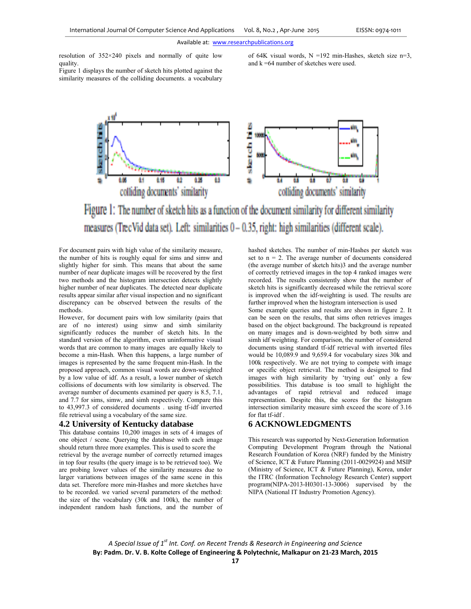resolution of 352×240 pixels and normally of quite low quality.

of 64K visual words,  $N = 192$  min-Hashes, sketch size n=3, and k =64 number of sketches were used.

Figure 1 displays the number of sketch hits plotted against the similarity measures of the colliding documents. a vocabulary



Figure 1: The number of sketch hits as a function of the document similarity for different similarity measures (Tiec Vid data set). Left: similarities  $0 - 0.35$ , right: high similarities (different scale).

For document pairs with high value of the similarity measure, the number of hits is roughly equal for sims and simw and slightly higher for simh. This means that about the same number of near duplicate images will be recovered by the first two methods and the histogram intersection detects slightly higher number of near duplicates. The detected near duplicate results appear similar after visual inspection and no significant discrepancy can be observed between the results of the methods.

However, for document pairs with low similarity (pairs that are of no interest) using simw and simh similarity significantly reduces the number of sketch hits. In the standard version of the algorithm, even uninformative visual words that are common to many images are equally likely to become a min-Hash. When this happens, a large number of images is represented by the same frequent min-Hash. In the proposed approach, common visual words are down-weighted by a low value of idf. As a result, a lower number of sketch collisions of documents with low similarity is observed. The average number of documents examined per query is 8.5, 7.1, and 7.7 for sims, simw, and simh respectively. Compare this to 43,997.3 of considered documents . using tf-idf inverted file retrieval using a vocabulary of the same size.

#### **4.2 University of Kentucky database**

This database contains 10,200 images in sets of 4 images of one object / scene. Querying the database with each image should return three more examples. This is used to score the retrieval by the average number of correctly returned images in top four results (the query image is to be retrieved too). We are probing lower values of the similarity measures due to larger variations between images of the same scene in this data set. Therefore more min-Hashes and more sketches have to be recorded. we varied several parameters of the method: the size of the vocabulary (30k and 100k), the number of independent random hash functions, and the number of hashed sketches. The number of min-Hashes per sketch was set to  $n = 2$ . The average number of documents considered (the average number of sketch hits)3 and the average number of correctly retrieved images in the top 4 ranked images were recorded. The results consistently show that the number of sketch hits is significantly decreased while the retrieval score is improved when the idf-weighting is used. The results are further improved when the histogram intersection is used

Some example queries and results are shown in figure 2. It can be seen on the results, that sims often retrieves images based on the object background. The background is repeated on many images and is down-weighted by both simw and simh idf weighting. For comparison, the number of considered documents using standard tf-idf retrieval with inverted files would be 10,089.9 and 9,659.4 for vocabulary sizes 30k and 100k respectively. We are not trying to compete with image or specific object retrieval. The method is designed to find images with high similarity by 'trying out' only a few possibilities. This database is too small to highlight the advantages of rapid retrieval and reduced image representation. Despite this, the scores for the histogram intersection similarity measure simh exceed the score of 3.16 for flat tf-idf .

## **6 ACKNOWLEDGMENTS**

This research was supported by Next-Generation Information Computing Development Program through the National Research Foundation of Korea (NRF) funded by the Ministry of Science, ICT & Future Planning (2011-0029924) and MSIP (Ministry of Science, ICT & Future Planning), Korea, under the ITRC (Information Technology Research Center) support program(NIPA-2013-H0301-13-3006) supervised by the NIPA (National IT Industry Promotion Agency).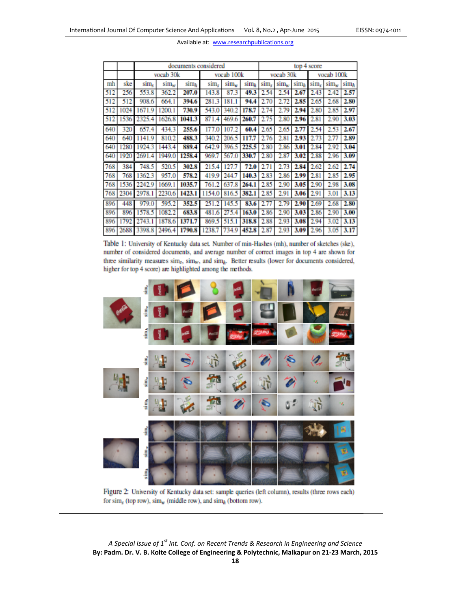|     |      | documents considered    |                  |                  |            |                  |                  | top 4 score |                  |                  |            |      |                  |
|-----|------|-------------------------|------------------|------------------|------------|------------------|------------------|-------------|------------------|------------------|------------|------|------------------|
|     |      | vocab 30k               |                  |                  | vocab 100k |                  |                  | vocab 30k   |                  |                  | vocab 100k |      |                  |
| mh  | ske  | $\text{sim}_{\epsilon}$ | $\text{sim}_{w}$ | sim <sub>h</sub> | sim.       | sim <sub>w</sub> | sim <sub>h</sub> | sim,        | $\text{sim}_{w}$ | sim <sub>b</sub> | sim.       | sim. | $\text{sim}_{h}$ |
| 512 | 256  | 553.8                   | 362.2            | 207.0            | 143.8      | 87.3             | 49.3             | 2.54        | 2.54             | 2.67             | 2.43       | 2.42 | 2.57             |
| 512 | 512  | 908.6                   | 664.1            | 394.6            | 281.3      | 181.1            | 94.4             | 2.70        | 2.72             | 2.85             | 2.65       | 2.68 | 2.80             |
| 512 | 1024 | 1671.9                  | 1200.1           | 730.9            | 543.0      | 340.2            | 178.7            | 2.74        | 2.79             | 2.94             | 2.80       | 2.85 | 2.97             |
| 512 | 1536 | 2325.4                  | 1626.8           | 1041.3           | 871.4      | 469.6            | 260.7            | 2.75        | 2.80             | 2.96             | 2.81       | 2.90 | 3.03             |
| 640 | 320  | 657.4                   | 434.3            | 255.6            | 177.0      | 107.2            | 60.4             | 2.65        | 2.65             | 2.77             | 2.54       | 2.53 | 2.67             |
| 640 | 640  | 1141.9                  | 810.2            | 488.3            | 340.2      | 206.5            | 117.7            | 2.76        | 2.81             | 2.93             | 2.73       | 2.77 | 2.89             |
| 640 | 1280 | 1924.3                  | 1443.4           | 889.4            | 642.9      | 396.5            | 225.5            | 2.80        | 2.86             | 3.01             | 2.84       | 2.92 | 3.04             |
| 640 | 1920 | 2691.4                  | 1949.0           | 1258.4           | 969.7      | 567.0            | 330.7            | 2.80        | 2.87             | 3.02             | 2.88       | 2.96 | 3.09             |
| 768 | 384  | 748.5                   | 520.5            | 302.8            | 215.4      | 127.7            | 72.0             | 2.71        | 2.73             | 2.84             | 2.62       | 2.62 | 2.74             |
| 768 | 768  | 1362.3                  | 957.0            | 578.2            | 419.9      | 244.7            | 140.3            | 2.83        | 2.86             | 2.99             | 2.81       | 2.85 | 2.95             |
| 768 | 1536 | 2242.9                  | 1669.1           | 1035.7           | 761.2      | 637.8            | 264.1            | 2.85        | 2.90             | 3.05             | 2.90       | 2.98 | 3.08             |
| 768 | 2304 | 2978.                   | 2230.6           | 1423.1           | 1154.0     | 816.5            | 382.1            | 2.85        | 2.91             | 3.06             | 2.91       | 3.01 | 3.13             |
| 896 | 448  | 979.0                   | 595.2            | 352.5            | 251.2      | 145.5            | 83.6             | 2.77        | 2.79             | 2.90             | 2.69       | 2.68 | 2.80             |
| 896 | 896  | 1578.5                  | 1082.2           | 683.8            | 481.6      | 27<br>5.<br>А    | 163.0            | 2.86        | 2.90             | 3.03             | 2.86       | 2.90 | 3.00             |
| 896 | 1792 | 2743.1                  | 1878.6           | 1371.7           | 869.5      | 515.             | 318.8            | 2.88        | 2.93             | 3.08             | 2.94       | 3.02 | 3.13             |
| 896 | 2688 | 3398.8                  | 2496.4           | 1790.8           | 1238.7     | 734.9            | 452.8            | 2.87        | 2.93             | 3.09             | 2.96       | 3.05 | 3.17             |

Table 1: University of Kentucky data set. Number of min-Hashes (mh), number of sketches (ske), number of considered documents, and average number of correct images in top 4 are shown for three similarity measures sim<sub>s</sub>, sim<sub>w</sub>, and sim<sub>h</sub>. Better results (lower for documents considered, higher for top 4 score) are highlighted among the methods.



Figure 2: University of Kentucky data set: sample queries (left column), results (three rows each) for  $\sinh_x$  (top row),  $\sinh_w$  (middle row), and  $\sinh_h$  (bottom row).